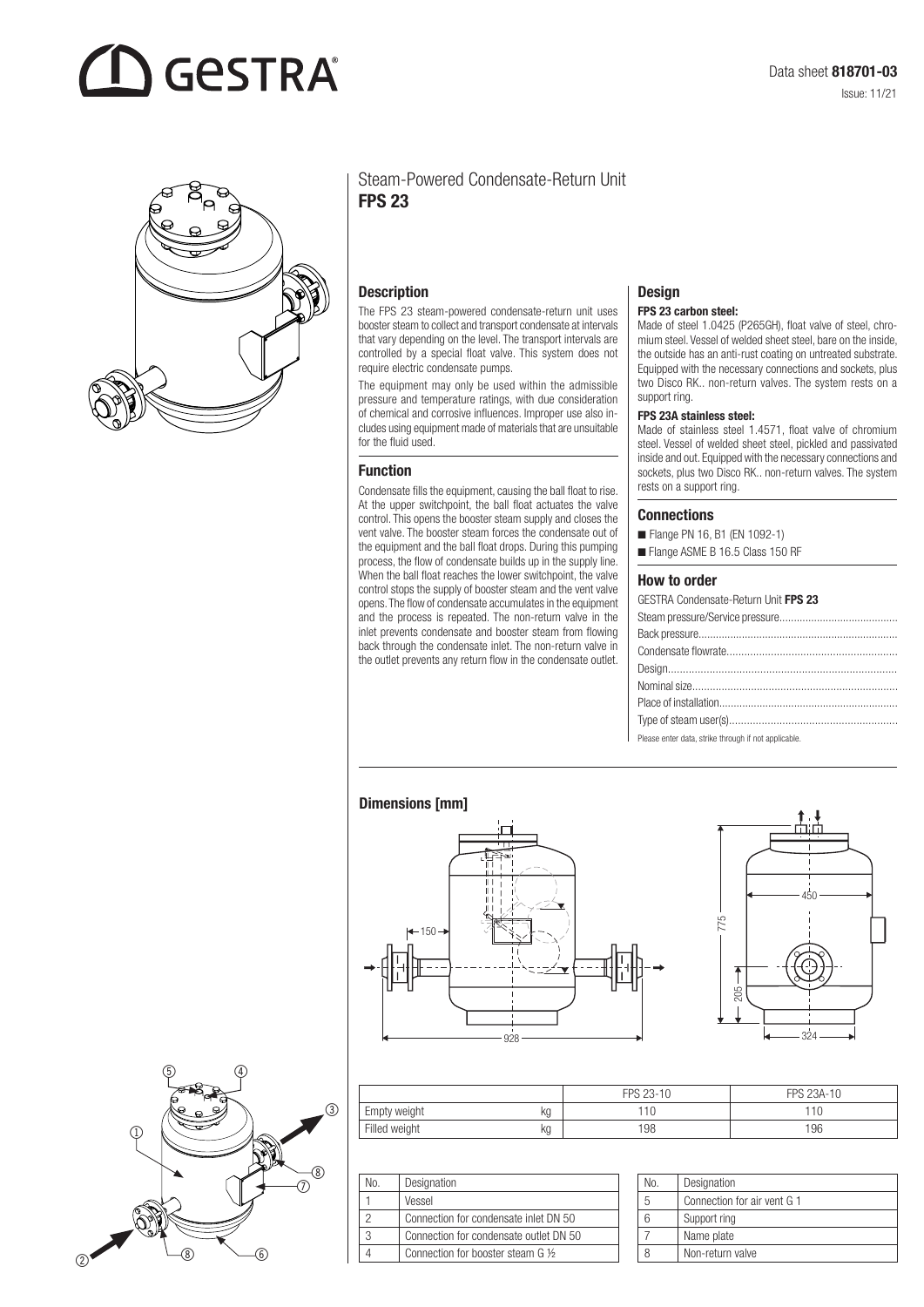# **GESTRA**



# Steam-Powered Condensate-Return Unit FPS 23

#### **Description**

The FPS 23 steam-powered condensate-return unit uses booster steam to collect and transport condensate at intervals that vary depending on the level. The transport intervals are controlled by a special float valve. This system does not require electric condensate pumps.

The equipment may only be used within the admissible pressure and temperature ratings, with due consideration of chemical and corrosive influences. Improper use also includes using equipment made of materials that are unsuitable for the fluid used.

#### Function

Condensate fills the equipment, causing the ball float to rise. At the upper switchpoint, the ball float actuates the valve control. This opens the booster steam supply and closes the vent valve. The booster steam forces the condensate out of the equipment and the ball float drops. During this pumping process, the flow of condensate builds up in the supply line. When the ball float reaches the lower switchpoint, the valve control stops the supply of booster steam and the vent valve opens. The flow of condensate accumulates in the equipment and the process is repeated. The non-return valve in the inlet prevents condensate and booster steam from flowing back through the condensate inlet. The non-return valve in the outlet prevents any return flow in the condensate outlet.

# **Design**

#### FPS 23 carbon steel:

Made of steel 1.0425 (P265GH), float valve of steel, chromium steel. Vessel of welded sheet steel, bare on the inside, the outside has an anti-rust coating on untreated substrate. Equipped with the necessary connections and sockets, plus two Disco RK.. non-return valves. The system rests on a support ring.

#### FPS 23A stainless steel:

Made of stainless steel 1.4571, float valve of chromium steel. Vessel of welded sheet steel, pickled and passivated inside and out. Equipped with the necessary connections and sockets, plus two Disco RK.. non-return valves. The system rests on a support ring.

#### **Connections**

- Flange PN 16, B1 (EN 1092-1)
- Flange ASME B 16.5 Class 150 RF

#### How to order

| <b>GESTRA Condensate-Return Unit FPS 23</b>          |
|------------------------------------------------------|
|                                                      |
|                                                      |
|                                                      |
|                                                      |
|                                                      |
|                                                      |
|                                                      |
| Please enter data, strike through if not applicable. |

### Dimensions [mm]







|               |    | FPS 23-10 | FPS 23A-10 |
|---------------|----|-----------|------------|
| Empty weight  | kg | 110       | 10         |
| Filled weight | kg | 198       | 196        |

| No. | Designation                            |
|-----|----------------------------------------|
|     | Vessel                                 |
|     | Connection for condensate inlet DN 50  |
| 3   | Connection for condensate outlet DN 50 |
|     | Connection for booster steam G 1/2     |

| No. | Designation                 |
|-----|-----------------------------|
|     | Connection for air vent G 1 |
|     | Support ring                |
|     | Name plate                  |
|     | Non-return valve            |